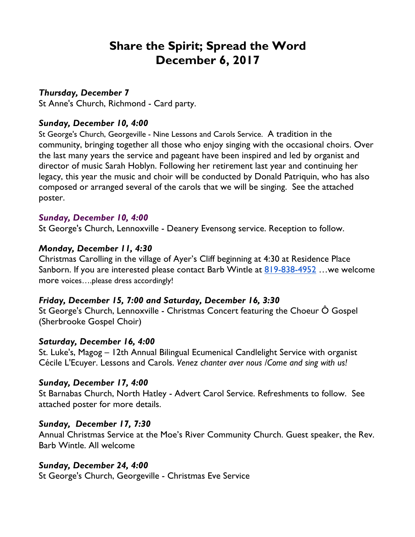# **Share the Spirit; Spread the Word December 6, 2017**

# *Thursday, December 7*

St Anne's Church, Richmond - Card party.

# *Sunday, December 10, 4:00*

St George's Church, Georgeville - Nine Lessons and Carols Service. A tradition in the community, bringing together all those who enjoy singing with the occasional choirs. Over the last many years the service and pageant have been inspired and led by organist and director of music Sarah Hoblyn. Following her retirement last year and continuing her legacy, this year the music and choir will be conducted by Donald Patriquin, who has also composed or arranged several of the carols that we will be singing. See the attached poster.

# *Sunday, December 10, 4:00*

St George's Church, Lennoxville - Deanery Evensong service. Reception to follow.

# *Monday, December 11, 4:30*

Christmas Carolling in the village of Ayer's Cliff beginning at 4:30 at Residence Place Sanborn. If you are interested please contact Barb Wintle at 819-838-4952 …we welcome more voices….please dress accordingly!

#### *Friday, December 15, 7:00 and Saturday, December 16, 3:30*

St George's Church, Lennoxville - Christmas Concert featuring the Choeur Ô Gospel (Sherbrooke Gospel Choir)

#### *Saturday, December 16, 4:00*

St. Luke's, Magog – 12th Annual Bilingual Ecumenical Candlelight Service with organist Cécile L'Ecuyer. Lessons and Carols. *Venez chanter aver nous /Come and sing with us!*

#### *Sunday, December 17, 4:00*

St Barnabas Church, North Hatley - Advert Carol Service. Refreshments to follow. See attached poster for more details.

#### *Sunday, December 17, 7:30*

Annual Christmas Service at the Moe's River Community Church. Guest speaker, the Rev. Barb Wintle. All welcome

# *Sunday, December 24, 4:00*

St George's Church, Georgeville - Christmas Eve Service